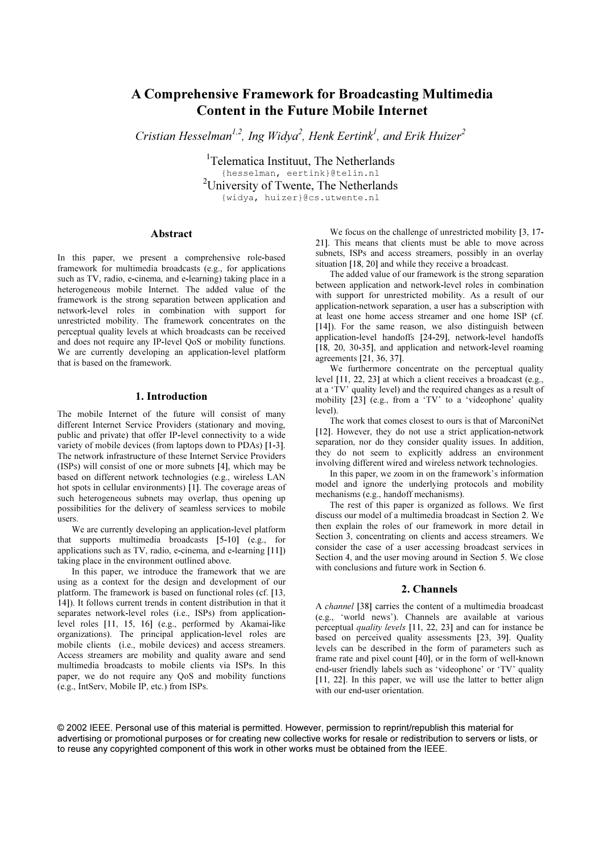## A Comprehensive Framework for Broadcasting Multimedia Content in the Future Mobile Internet

Cristian Hesselman $^{l,2}$ , Ing Widya $^{2}$ , Henk Eertink $^{l}$ , and Erik Huizer $^{2}$ 

<sup>1</sup>Telematica Instituut, The Netherlands {hesselman, eertink}@telin.nl <sup>2</sup>University of Twente, The Netherlands {widya, huizer}@cs.utwente.nl

## Abstract

In this paper, we present a comprehensive role-based framework for multimedia broadcasts (e.g., for applications such as TV, radio, e-cinema, and e-learning) taking place in a heterogeneous mobile Internet. The added value of the framework is the strong separation between application and network-level roles in combination with support for unrestricted mobility. The framework concentrates on the perceptual quality levels at which broadcasts can be received and does not require any IP-level QoS or mobility functions. We are currently developing an application-level platform that is based on the framework.

## 1. Introduction

The mobile Internet of the future will consist of many different Internet Service Providers (stationary and moving, public and private) that offer IP-level connectivity to a wide variety of mobile devices (from laptops down to PDAs) [1-3]. The network infrastructure of these Internet Service Providers (ISPs) will consist of one or more subnets [4], which may be based on different network technologies (e.g., wireless LAN hot spots in cellular environments) [1]. The coverage areas of such heterogeneous subnets may overlap, thus opening up possibilities for the delivery of seamless services to mobile users.

We are currently developing an application-level platform that supports multimedia broadcasts [5-10] (e.g., for applications such as TV, radio, e-cinema, and e-learning [11]) taking place in the environment outlined above.

In this paper, we introduce the framework that we are using as a context for the design and development of our platform. The framework is based on functional roles (cf. [13, 14]). It follows current trends in content distribution in that it separates network-level roles (i.e., ISPs) from applicationlevel roles [11, 15, 16] (e.g., performed by Akamai-like organizations). The principal application-level roles are mobile clients (i.e., mobile devices) and access streamers. Access streamers are mobility and quality aware and send multimedia broadcasts to mobile clients via ISPs. In this paper, we do not require any QoS and mobility functions (e.g., IntServ, Mobile IP, etc.) from ISPs.

We focus on the challenge of unrestricted mobility [3, 17- 21]. This means that clients must be able to move across subnets, ISPs and access streamers, possibly in an overlay situation [18, 20] and while they receive a broadcast.

The added value of our framework is the strong separation between application and network-level roles in combination with support for unrestricted mobility. As a result of our application-network separation, a user has a subscription with at least one home access streamer and one home ISP (cf. [14]). For the same reason, we also distinguish between application-level handoffs [24-29], network-level handoffs [18, 20, 30-35], and application and network-level roaming agreements [21, 36, 37].

We furthermore concentrate on the perceptual quality level [11, 22, 23] at which a client receives a broadcast (e.g., at a 'TV' quality level) and the required changes as a result of mobility [23] (e.g., from a 'TV' to a 'videophone' quality level).

The work that comes closest to ours is that of MarconiNet [12]. However, they do not use a strict application-network separation, nor do they consider quality issues. In addition, they do not seem to explicitly address an environment involving different wired and wireless network technologies.

In this paper, we zoom in on the framework's information model and ignore the underlying protocols and mobility mechanisms (e.g., handoff mechanisms).

The rest of this paper is organized as follows. We first discuss our model of a multimedia broadcast in Section 2. We then explain the roles of our framework in more detail in Section 3, concentrating on clients and access streamers. We consider the case of a user accessing broadcast services in Section 4, and the user moving around in Section 5. We close with conclusions and future work in Section 6.

### 2. Channels

A channel [38] carries the content of a multimedia broadcast (e.g., 'world news'). Channels are available at various perceptual quality levels [11, 22, 23] and can for instance be based on perceived quality assessments [23, 39]. Quality levels can be described in the form of parameters such as frame rate and pixel count [40], or in the form of well-known end-user friendly labels such as 'videophone' or 'TV' quality [11, 22]. In this paper, we will use the latter to better align with our end-user orientation.

© 2002 IEEE. Personal use of this material is permitted. However, permission to reprint/republish this material for advertising or promotional purposes or for creating new collective works for resale or redistribution to servers or lists, or to reuse any copyrighted component of this work in other works must be obtained from the IEEE.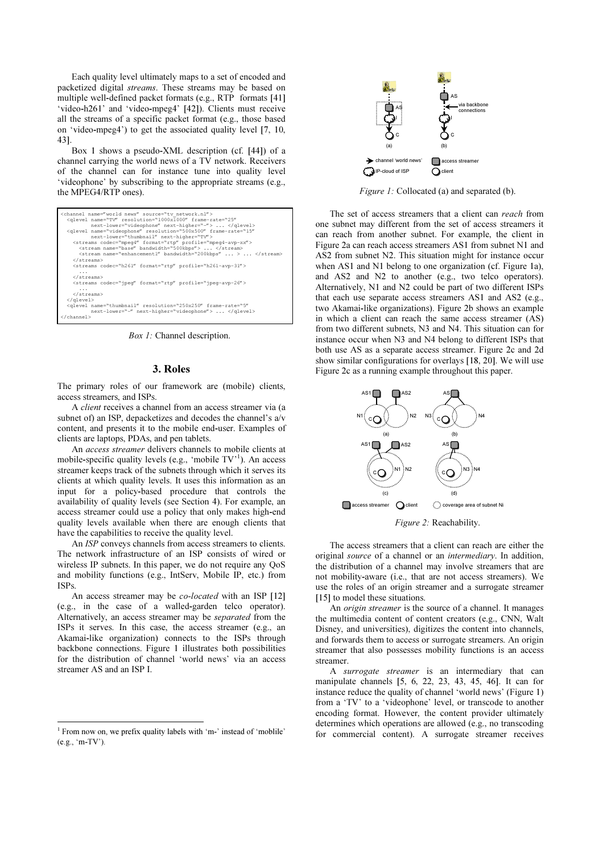Each quality level ultimately maps to a set of encoded and packetized digital streams. These streams may be based on multiple well-defined packet formats (e.g., RTP formats [41] 'video-h261' and 'video-mpeg4' [42]). Clients must receive all the streams of a specific packet format (e.g., those based on 'video-mpeg4') to get the associated quality level [7, 10, 43].

Box 1 shows a pseudo-XML description (cf. [44]) of a channel carrying the world news of a TV network. Receivers of the channel can for instance tune into quality level 'videophone' by subscribing to the appropriate streams (e.g., the MPEG4/RTP ones).

| <streams codec="h261" format="rtp" profile="h261-avp-31"><br/><math>\cdot</math> <math>\cdot</math> <math>\cdot</math><br/><math>\langle</math>/streams&gt;<br/><streams codec="jpeq" format="rtp" profile="jpeq-avp-26"><br/><math>\cdots</math><br/><math>\langle</math>/streams&gt;<br/><br/><glevel <br="" frame-rate="5" name="thumbnail" resolution="250x250">next-lower="-" next-higher="videophone"&gt;  </glevel><br/></streams></streams> | <channel name="world news" source="ty network.nl"><br/><glevel <br="" frame-rate="25" name="TV" resolution="1000x1000">next-lower="videophone" next-higher="-"&gt;  <br/><glevel <br="" frame-rate="15" name="videophone" resolution="500x500">next-lower="thumbnail" next-higher="TV"&gt;<br/><streams codec="mpeq4" format="rtp" profile="mpeq4-avp-xx"><br/><stream bandwidth="500kbps" name="base"> </stream><br/><stream bandwidth="200kbps" name="enhancement1"> </stream><br/></streams></glevel></glevel></channel> |
|-----------------------------------------------------------------------------------------------------------------------------------------------------------------------------------------------------------------------------------------------------------------------------------------------------------------------------------------------------------------------------------------------------------------------------------------------------|-----------------------------------------------------------------------------------------------------------------------------------------------------------------------------------------------------------------------------------------------------------------------------------------------------------------------------------------------------------------------------------------------------------------------------------------------------------------------------------------------------------------------------|
|                                                                                                                                                                                                                                                                                                                                                                                                                                                     |                                                                                                                                                                                                                                                                                                                                                                                                                                                                                                                             |
|                                                                                                                                                                                                                                                                                                                                                                                                                                                     |                                                                                                                                                                                                                                                                                                                                                                                                                                                                                                                             |
|                                                                                                                                                                                                                                                                                                                                                                                                                                                     |                                                                                                                                                                                                                                                                                                                                                                                                                                                                                                                             |
|                                                                                                                                                                                                                                                                                                                                                                                                                                                     |                                                                                                                                                                                                                                                                                                                                                                                                                                                                                                                             |
|                                                                                                                                                                                                                                                                                                                                                                                                                                                     |                                                                                                                                                                                                                                                                                                                                                                                                                                                                                                                             |
|                                                                                                                                                                                                                                                                                                                                                                                                                                                     |                                                                                                                                                                                                                                                                                                                                                                                                                                                                                                                             |
|                                                                                                                                                                                                                                                                                                                                                                                                                                                     |                                                                                                                                                                                                                                                                                                                                                                                                                                                                                                                             |
|                                                                                                                                                                                                                                                                                                                                                                                                                                                     |                                                                                                                                                                                                                                                                                                                                                                                                                                                                                                                             |
|                                                                                                                                                                                                                                                                                                                                                                                                                                                     |                                                                                                                                                                                                                                                                                                                                                                                                                                                                                                                             |

Box 1: Channel description.

#### 3. Roles

The primary roles of our framework are (mobile) clients, access streamers, and ISPs.

A client receives a channel from an access streamer via (a subnet of) an ISP, depacketizes and decodes the channel's  $a/v$ content, and presents it to the mobile end-user. Examples of clients are laptops, PDAs, and pen tablets.

An access streamer delivers channels to mobile clients at mobile-specific quality levels (e.g., 'mobile TV'<sup>1</sup>). An access streamer keeps track of the subnets through which it serves its clients at which quality levels. It uses this information as an input for a policy-based procedure that controls the availability of quality levels (see Section 4). For example, an access streamer could use a policy that only makes high-end quality levels available when there are enough clients that have the capabilities to receive the quality level.

An ISP conveys channels from access streamers to clients. The network infrastructure of an ISP consists of wired or wireless IP subnets. In this paper, we do not require any QoS and mobility functions (e.g., IntServ, Mobile IP, etc.) from ISPs.

An access streamer may be *co-located* with an ISP [12] (e.g., in the case of a walled-garden telco operator). Alternatively, an access streamer may be separated from the ISPs it serves. In this case, the access streamer (e.g., an Akamai-like organization) connects to the ISPs through backbone connections. Figure 1 illustrates both possibilities for the distribution of channel 'world news' via an access streamer AS and an ISP I.

 $\overline{a}$ 



Figure 1: Collocated (a) and separated (b).

The set of access streamers that a client can reach from one subnet may different from the set of access streamers it can reach from another subnet. For example, the client in Figure 2a can reach access streamers AS1 from subnet N1 and AS2 from subnet N2. This situation might for instance occur when AS1 and N1 belong to one organization (cf. Figure 1a), and AS2 and N2 to another (e.g., two telco operators). Alternatively, N1 and N2 could be part of two different ISPs that each use separate access streamers AS1 and AS2 (e.g., two Akamai-like organizations). Figure 2b shows an example in which a client can reach the same access streamer (AS) from two different subnets, N3 and N4. This situation can for instance occur when N3 and N4 belong to different ISPs that both use AS as a separate access streamer. Figure 2c and 2d show similar configurations for overlays [18, 20]. We will use Figure 2c as a running example throughout this paper.



Figure 2: Reachability.

The access streamers that a client can reach are either the original source of a channel or an intermediary. In addition, the distribution of a channel may involve streamers that are not mobility-aware (i.e., that are not access streamers). We use the roles of an origin streamer and a surrogate streamer [15] to model these situations.

An origin streamer is the source of a channel. It manages the multimedia content of content creators (e.g., CNN, Walt Disney, and universities), digitizes the content into channels, and forwards them to access or surrogate streamers. An origin streamer that also possesses mobility functions is an access streamer.

A surrogate streamer is an intermediary that can manipulate channels [5, 6, 22, 23, 43, 45, 46]. It can for instance reduce the quality of channel 'world news' (Figure 1) from a 'TV' to a 'videophone' level, or transcode to another encoding format. However, the content provider ultimately determines which operations are allowed (e.g., no transcoding for commercial content). A surrogate streamer receives

<sup>&</sup>lt;sup>1</sup> From now on, we prefix quality labels with 'm-' instead of 'moblile' (e.g., 'm-TV').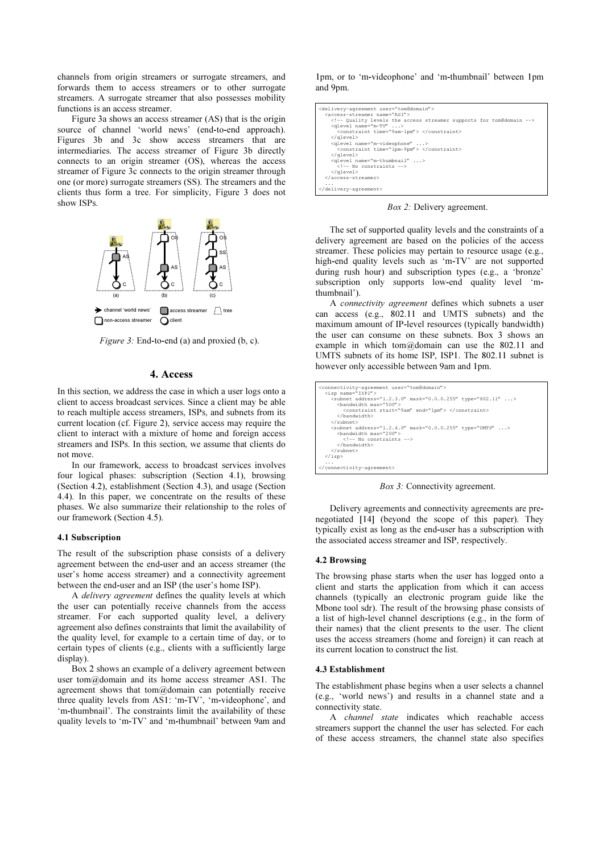channels from origin streamers or surrogate streamers, and forwards them to access streamers or to other surrogate streamers. A surrogate streamer that also possesses mobility functions is an access streamer.

Figure 3a shows an access streamer (AS) that is the origin source of channel 'world news' (end-to-end approach). Figures 3b and 3c show access streamers that are intermediaries. The access streamer of Figure 3b directly connects to an origin streamer (OS), whereas the access streamer of Figure 3c connects to the origin streamer through one (or more) surrogate streamers (SS). The streamers and the clients thus form a tree. For simplicity, Figure 3 does not show ISPs.



Figure 3: End-to-end (a) and proxied (b, c).

## 4. Access

In this section, we address the case in which a user logs onto a client to access broadcast services. Since a client may be able to reach multiple access streamers, ISPs, and subnets from its current location (cf. Figure 2), service access may require the client to interact with a mixture of home and foreign access streamers and ISPs. In this section, we assume that clients do not move.

In our framework, access to broadcast services involves four logical phases: subscription (Section 4.1), browsing (Section 4.2), establishment (Section 4.3), and usage (Section 4.4). In this paper, we concentrate on the results of these phases. We also summarize their relationship to the roles of our framework (Section 4.5).

#### 4.1 Subscription

The result of the subscription phase consists of a delivery agreement between the end-user and an access streamer (the user's home access streamer) and a connectivity agreement between the end-user and an ISP (the user's home ISP).

A delivery agreement defines the quality levels at which the user can potentially receive channels from the access streamer. For each supported quality level, a delivery agreement also defines constraints that limit the availability of the quality level, for example to a certain time of day, or to certain types of clients (e.g., clients with a sufficiently large display).

Box 2 shows an example of a delivery agreement between user tom@domain and its home access streamer AS1. The agreement shows that  $tom@domain$  can potentially receive three quality levels from AS1: 'm-TV', 'm-videophone', and 'm-thumbnail'. The constraints limit the availability of these quality levels to 'm-TV' and 'm-thumbnail' between 9am and 1pm, or to 'm-videophone' and 'm-thumbnail' between 1pm and 9pm.

| <delivery-agreement user="tom@domain"><br/><access-streamer_name="as1"></access-streamer_name="as1"></delivery-agreement> |
|---------------------------------------------------------------------------------------------------------------------------|
| Quality levels the access streamer supports for tom@domain<br><qlevel name="m-TV"></qlevel>                               |
| <constraint time="9am-1pm"> </constraint>                                                                                 |
| $\langle$ /dlevel>                                                                                                        |
| <qlevel name="m-videophone"></qlevel>                                                                                     |
| <constraint time="1pm-9pm"> </constraint>                                                                                 |
| $\langle$ /dlevel>                                                                                                        |
| <qlevel name="m-thumbnail"></qlevel>                                                                                      |
| $\langle - -$ No constraints $\langle - \rangle$                                                                          |
|                                                                                                                           |
|                                                                                                                           |
| $\cdots$                                                                                                                  |
|                                                                                                                           |

Box 2: Delivery agreement.

The set of supported quality levels and the constraints of a delivery agreement are based on the policies of the access streamer. These policies may pertain to resource usage (e.g., high-end quality levels such as 'm-TV' are not supported during rush hour) and subscription types (e.g., a 'bronze' subscription only supports low-end quality level 'mthumbnail').

A connectivity agreement defines which subnets a user can access (e.g., 802.11 and UMTS subnets) and the maximum amount of IP-level resources (typically bandwidth) the user can consume on these subnets. Box 3 shows an example in which tom $\omega$  domain can use the 802.11 and UMTS subnets of its home ISP, ISP1. The 802.11 subnet is however only accessible between 9am and 1pm.

| <connectivity-agreement user="tom@domain"><br/><isp name="ISP1"></isp></connectivity-agreement> |
|-------------------------------------------------------------------------------------------------|
| <subnet address="1.2.3.0" mask="0.0.0.255" type="802.11"></subnet>                              |
| <bandwidth max="500"></bandwidth>                                                               |
|                                                                                                 |
| <constraint end="1pm" start="9am"> </constraint>                                                |
|                                                                                                 |
|                                                                                                 |
| <subnet address="1.2.4.0" mask="0.0.0.255" type="UMTS"></subnet>                                |
| <bandwidth max="200"></bandwidth>                                                               |
| $\langle -1 - \rangle$ No constraints $\langle -2 \rangle$                                      |
|                                                                                                 |
| $\langle$ /subnet>                                                                              |
| $\langle$ /isp>                                                                                 |
| $\cdots$                                                                                        |
|                                                                                                 |

Box 3: Connectivity agreement.

Delivery agreements and connectivity agreements are prenegotiated [14] (beyond the scope of this paper). They typically exist as long as the end-user has a subscription with the associated access streamer and ISP, respectively.

#### 4.2 Browsing

The browsing phase starts when the user has logged onto a client and starts the application from which it can access channels (typically an electronic program guide like the Mbone tool sdr). The result of the browsing phase consists of a list of high-level channel descriptions (e.g., in the form of their names) that the client presents to the user. The client uses the access streamers (home and foreign) it can reach at its current location to construct the list.

#### 4.3 Establishment

The establishment phase begins when a user selects a channel (e.g., 'world news') and results in a channel state and a connectivity state.

A channel state indicates which reachable access streamers support the channel the user has selected. For each of these access streamers, the channel state also specifies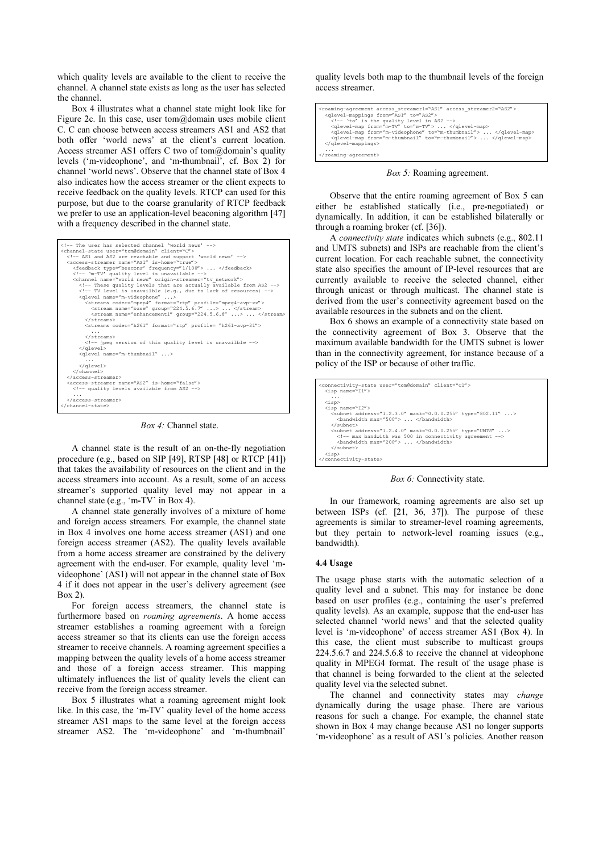which quality levels are available to the client to receive the channel. A channel state exists as long as the user has selected the channel.

Box 4 illustrates what a channel state might look like for Figure 2c. In this case, user tom $\omega$ domain uses mobile client C. C can choose between access streamers AS1 and AS2 that both offer 'world news' at the client's current location. Access streamer AS1 offers C two of tom@domain's quality levels ('m-videophone', and 'm-thumbnail', cf. Box 2) for channel 'world news'. Observe that the channel state of Box 4 also indicates how the access streamer or the client expects to receive feedback on the quality levels. RTCP can used for this purpose, but due to the coarse granularity of RTCP feedback we prefer to use an application-level beaconing algorithm [47] with a frequency described in the channel state.



Box 4: Channel state.

A channel state is the result of an on-the-fly negotiation procedure (e.g., based on SIP [49], RTSP [48] or RTCP [41]) that takes the availability of resources on the client and in the access streamers into account. As a result, some of an access streamer's supported quality level may not appear in a channel state (e.g., 'm-TV' in Box 4).

A channel state generally involves of a mixture of home and foreign access streamers. For example, the channel state in Box 4 involves one home access streamer (AS1) and one foreign access streamer (AS2). The quality levels available from a home access streamer are constrained by the delivery agreement with the end-user. For example, quality level 'mvideophone' (AS1) will not appear in the channel state of Box 4 if it does not appear in the user's delivery agreement (see Box 2).

For foreign access streamers, the channel state is furthermore based on roaming agreements. A home access streamer establishes a roaming agreement with a foreign access streamer so that its clients can use the foreign access streamer to receive channels. A roaming agreement specifies a mapping between the quality levels of a home access streamer and those of a foreign access streamer. This mapping ultimately influences the list of quality levels the client can receive from the foreign access streamer.

Box 5 illustrates what a roaming agreement might look like. In this case, the 'm-TV' quality level of the home access streamer AS1 maps to the same level at the foreign access streamer AS2. The 'm-videophone' and 'm-thumbnail'

quality levels both map to the thumbnail levels of the foreign access streamer.

```
<roaming-agreement access_streamer1="AS1" access_streamer2="AS2">
 <qlevel-mappings from="AS1" to="AS2">
<!-- 'to' is the quality level in AS2 --><br><qlevel-map from="m-TV" to="m-TV"> ... </qlevel-map><br><qlevel-map from="m-videophone" to="m-thumbnail"> ... </qlevel-map>
 <qlevel-map from="m-thumbnail" to="m-thumbnail"> ... </qlevel-map>
 </qlevel-mappings>
 ...
</roaming-agreement>
```
Box 5: Roaming agreement.

Observe that the entire roaming agreement of Box 5 can either be established statically (i.e., pre-negotiated) or dynamically. In addition, it can be established bilaterally or through a roaming broker (cf. [36]).

A connectivity state indicates which subnets (e.g., 802.11 and UMTS subnets) and ISPs are reachable from the client's current location. For each reachable subnet, the connectivity state also specifies the amount of IP-level resources that are currently available to receive the selected channel, either through unicast or through multicast. The channel state is derived from the user's connectivity agreement based on the available resources in the subnets and on the client.

Box 6 shows an example of a connectivity state based on the connectivity agreement of Box 3. Observe that the maximum available bandwidth for the UMTS subnet is lower than in the connectivity agreement, for instance because of a policy of the ISP or because of other traffic.

```
<connectivity-state user="tom@domain" client="C1">
  \langleisp name=
 ...
 <isp>
 <isp name="I2">
 <subnet address="1.2.3.0" mask="0.0.0.255" type="802.11" ...>
 <bandwidth max="500"> ... </bandwidth>
       </subnet>
 <subnet address="1.2.4.0" mask="0.0.0.255" type="UMTS" ...>
 <!-- max bandwith was 500 in connectivity agreement -->
 <bandwidth max="200"> ... </bandwidth>
       </subnet>
 <isp>
</connectivity-state>
```
Box 6: Connectivity state.

In our framework, roaming agreements are also set up between ISPs (cf. [21, 36, 37]). The purpose of these agreements is similar to streamer-level roaming agreements, but they pertain to network-level roaming issues (e.g., bandwidth).

# $\cdots$  uses

The usage phase starts with the automatic selection of a quality level and a subnet. This may for instance be done based on user profiles (e.g., containing the user's preferred quality levels). As an example, suppose that the end-user has selected channel 'world news' and that the selected quality level is 'm-videophone' of access streamer AS1 (Box 4). In this case, the client must subscribe to multicast groups 224.5.6.7 and 224.5.6.8 to receive the channel at videophone quality in MPEG4 format. The result of the usage phase is that channel is being forwarded to the client at the selected quality level via the selected subnet.

The channel and connectivity states may change dynamically during the usage phase. There are various reasons for such a change. For example, the channel state shown in Box 4 may change because AS1 no longer supports 'm-videophone' as a result of AS1's policies. Another reason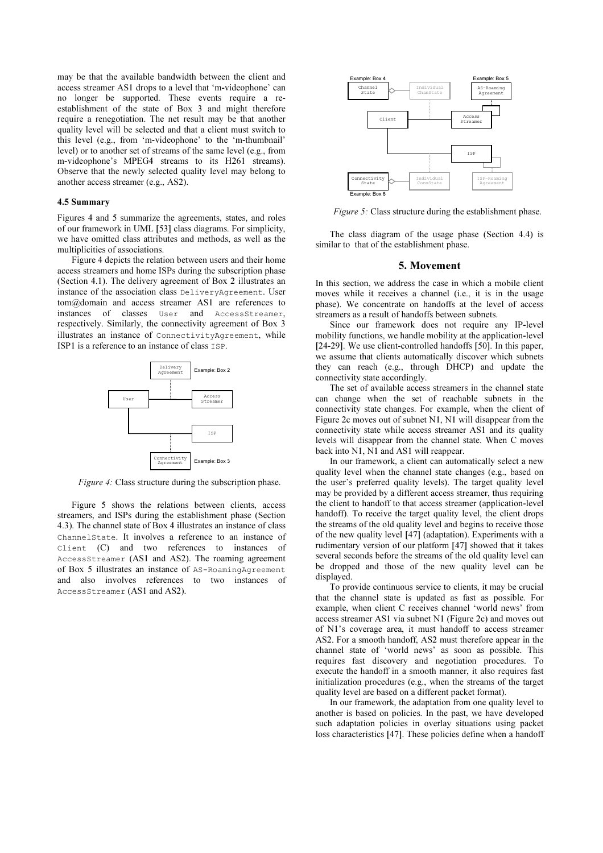may be that the available bandwidth between the client and access streamer AS1 drops to a level that 'm-videophone' can no longer be supported. These events require a reestablishment of the state of Box 3 and might therefore require a renegotiation. The net result may be that another quality level will be selected and that a client must switch to this level (e.g., from 'm-videophone' to the 'm-thumbnail' level) or to another set of streams of the same level (e.g., from m-videophone's MPEG4 streams to its H261 streams). Observe that the newly selected quality level may belong to another access streamer (e.g., AS2).

#### 4.5 Summary

Figures 4 and 5 summarize the agreements, states, and roles of our framework in UML [53] class diagrams. For simplicity, we have omitted class attributes and methods, as well as the multiplicities of associations.

Figure 4 depicts the relation between users and their home access streamers and home ISPs during the subscription phase (Section 4.1). The delivery agreement of Box 2 illustrates an instance of the association class DeliveryAgreement. User tom@domain and access streamer AS1 are references to instances of classes User and AccessStreamer, respectively. Similarly, the connectivity agreement of Box 3 illustrates an instance of ConnectivityAgreement, while ISP1 is a reference to an instance of class ISP.



Figure 4: Class structure during the subscription phase.

Figure 5 shows the relations between clients, access streamers, and ISPs during the establishment phase (Section 4.3). The channel state of Box 4 illustrates an instance of class ChannelState. It involves a reference to an instance of Client (C) and two references to instances of AccessStreamer (AS1 and AS2). The roaming agreement of Box 5 illustrates an instance of AS-RoamingAgreement and also involves references to two instances of AccessStreamer (AS1 and AS2).



Figure 5: Class structure during the establishment phase.

The class diagram of the usage phase (Section 4.4) is similar to that of the establishment phase.

#### 5. Movement

In this section, we address the case in which a mobile client moves while it receives a channel (i.e., it is in the usage phase). We concentrate on handoffs at the level of access streamers as a result of handoffs between subnets.

Since our framework does not require any IP-level mobility functions, we handle mobility at the application-level [24-29]. We use client-controlled handoffs [50]. In this paper, we assume that clients automatically discover which subnets they can reach (e.g., through DHCP) and update the connectivity state accordingly.

The set of available access streamers in the channel state can change when the set of reachable subnets in the connectivity state changes. For example, when the client of Figure 2c moves out of subnet N1, N1 will disappear from the connectivity state while access streamer AS1 and its quality levels will disappear from the channel state. When C moves back into N1, N1 and AS1 will reappear.

In our framework, a client can automatically select a new quality level when the channel state changes (e.g., based on the user's preferred quality levels). The target quality level may be provided by a different access streamer, thus requiring the client to handoff to that access streamer (application-level handoff). To receive the target quality level, the client drops the streams of the old quality level and begins to receive those of the new quality level [47] (adaptation). Experiments with a rudimentary version of our platform [47] showed that it takes several seconds before the streams of the old quality level can be dropped and those of the new quality level can be displayed.

To provide continuous service to clients, it may be crucial that the channel state is updated as fast as possible. For example, when client C receives channel 'world news' from access streamer AS1 via subnet N1 (Figure 2c) and moves out of N1's coverage area, it must handoff to access streamer AS2. For a smooth handoff, AS2 must therefore appear in the channel state of 'world news' as soon as possible. This requires fast discovery and negotiation procedures. To execute the handoff in a smooth manner, it also requires fast initialization procedures (e.g., when the streams of the target quality level are based on a different packet format).

In our framework, the adaptation from one quality level to another is based on policies. In the past, we have developed such adaptation policies in overlay situations using packet loss characteristics [47]. These policies define when a handoff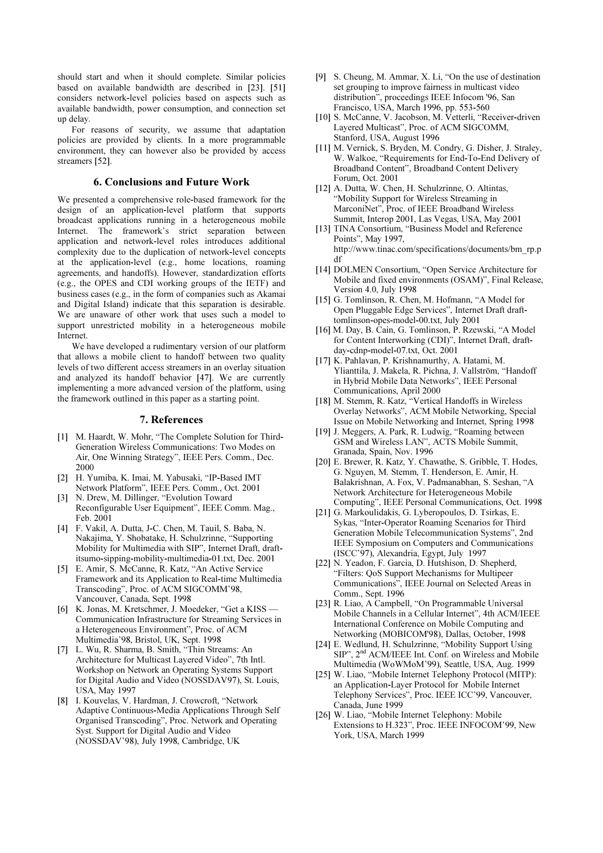should start and when it should complete. Similar policies based on available bandwidth are described in [23]. [51] considers network-level policies based on aspects such as available bandwidth, power consumption, and connection set up delay.

For reasons of security, we assume that adaptation policies are provided by clients. In a more programmable environment, they can however also be provided by access streamers [52].

## 6. Conclusions and Future Work

We presented a comprehensive role-based framework for the design of an application-level platform that supports broadcast applications running in a heterogeneous mobile Internet. The framework's strict separation between application and network-level roles introduces additional complexity due to the duplication of network-level concepts at the application-level (e.g., home locations, roaming agreements, and handoffs). However, standardization efforts (e.g., the OPES and CDI working groups of the IETF) and business cases (e.g., in the form of companies such as Akamai and Digital Island) indicate that this separation is desirable. We are unaware of other work that uses such a model to support unrestricted mobility in a heterogeneous mobile Internet.

We have developed a rudimentary version of our platform that allows a mobile client to handoff between two quality levels of two different access streamers in an overlay situation and analyzed its handoff behavior [47]. We are currently implementing a more advanced version of the platform, using the framework outlined in this paper as a starting point.

#### 7. References

- [1] M. Haardt, W. Mohr, "The Complete Solution for Third-Generation Wireless Communications: Two Modes on Air, One Winning Strategy", IEEE Pers. Comm., Dec. 2000
- [2] H. Yumiba, K. Imai, M. Yabusaki, "IP-Based IMT Network Platform", IEEE Pers. Comm., Oct. 2001
- [3] N. Drew, M. Dillinger, "Evolution Toward Reconfigurable User Equipment", IEEE Comm. Mag., Feb. 2001
- [4] F. Vakil, A. Dutta, J-C. Chen, M. Tauil, S. Baba, N. Nakajima, Y. Shobatake, H. Schulzrinne, "Supporting Mobility for Multimedia with SIP", Internet Draft, draftitsumo-sipping-mobility-multimedia-01.txt, Dec. 2001
- [5] E. Amir, S. McCanne, R. Katz, "An Active Service Framework and its Application to Real-time Multimedia Transcoding", Proc. of ACM SIGCOMM'98, Vancouver, Canada, Sept. 1998
- [6] K. Jonas, M. Kretschmer, J. Moedeker, "Get a KISS Communication Infrastructure for Streaming Services in a Heterogeneous Environment", Proc. of ACM Multimedia'98, Bristol, UK, Sept. 1998
- [7] L. Wu, R. Sharma, B. Smith, "Thin Streams: An Architecture for Multicast Layered Video", 7th Intl. Workshop on Network an Operating Systems Support for Digital Audio and Video (NOSSDAV97), St. Louis, USA, May 1997
- [8] I. Kouvelas, V. Hardman, J. Crowcroft, "Network Adaptive Continuous-Media Applications Through Self Organised Transcoding", Proc. Network and Operating Syst. Support for Digital Audio and Video (NOSSDAV'98), July 1998, Cambridge, UK
- [9] S. Cheung, M. Ammar, X. Li, "On the use of destination set grouping to improve fairness in multicast video distribution", proceedings IEEE Infocom '96, San Francisco, USA, March 1996, pp. 553-560
- [10] S. McCanne, V. Jacobson, M. Vetterli, "Receiver-driven Layered Multicast", Proc. of ACM SIGCOMM, Stanford, USA, August 1996
- [11] M. Vernick, S. Bryden, M. Condry, G. Disher, J. Straley, W. Walkoe, "Requirements for End-To-End Delivery of Broadband Content", Broadband Content Delivery Forum, Oct. 2001
- [12] A. Dutta, W. Chen, H. Schulzrinne, O. Altintas, "Mobility Support for Wireless Streaming in MarconiNet", Proc. of IEEE Broadband Wireless Summit, Interop 2001, Las Vegas, USA, May 2001
- [13] TINA Consortium, "Business Model and Reference Points", May 1997, http://www.tinac.com/specifications/documents/bm\_rp.p df
- [14] DOLMEN Consortium, "Open Service Architecture for Mobile and fixed environments (OSAM)", Final Release, Version 4.0, July 1998
- [15] G. Tomlinson, R. Chen, M. Hofmann, "A Model for Open Pluggable Edge Services", Internet Draft drafttomlinson-opes-model-00.txt, July 2001
- [16] M. Day, B. Cain, G. Tomlinson, P. Rzewski, "A Model for Content Interworking (CDI)", Internet Draft, draftday-cdnp-model-07.txt, Oct. 2001
- [17] K. Pahlavan, P. Krishnamurthy, A. Hatami, M. Ylianttila, J. Makela, R. Pichna, J. Vallström, "Handoff in Hybrid Mobile Data Networks", IEEE Personal Communications, April 2000
- [18] M. Stemm, R. Katz, "Vertical Handoffs in Wireless Overlay Networks", ACM Mobile Networking, Special Issue on Mobile Networking and Internet, Spring 1998
- [19] J. Meggers, A. Park, R. Ludwig, "Roaming between GSM and Wireless LAN", ACTS Mobile Summit, Granada, Spain, Nov. 1996
- [20] E. Brewer, R. Katz, Y. Chawathe, S. Gribble, T. Hodes, G. Nguyen, M. Stemm, T. Henderson, E. Amir, H. Balakrishnan, A. Fox, V. Padmanabhan, S. Seshan, "A Network Architecture for Heterogeneous Mobile Computing", IEEE Personal Communications, Oct. 1998
- [21] G. Markoulidakis, G. Lyberopoulos, D. Tsirkas, E. Sykas, "Inter-Operator Roaming Scenarios for Third Generation Mobile Telecommunication Systems", 2nd IEEE Symposium on Computers and Communications (ISCC'97), Alexandria, Egypt, July 1997
- [22] N. Yeadon, F. Garcia, D. Hutshison, D. Shepherd, "Filters: QoS Support Mechanisms for Multipeer Communications", IEEE Journal on Selected Areas in Comm., Sept. 1996
- [23] R. Liao, A Campbell, "On Programmable Universal Mobile Channels in a Cellular Internet", 4th ACM/IEEE International Conference on Mobile Computing and Networking (MOBICOM'98), Dallas, October, 1998
- [24] E. Wedlund, H. Schulzrinne, "Mobility Support Using SIP", 2<sup>nd</sup> ACM/IEEE Int. Conf. on Wireless and Mobile Multimedia (WoWMoM'99), Seattle, USA, Aug. 1999
- [25] W. Liao, "Mobile Internet Telephony Protocol (MITP): an Application-Layer Protocol for Mobile Internet Telephony Services", Proc. IEEE ICC'99, Vancouver, Canada, June 1999
- [26] W. Liao, "Mobile Internet Telephony: Mobile Extensions to H.323", Proc. IEEE INFOCOM'99, New York, USA, March 1999